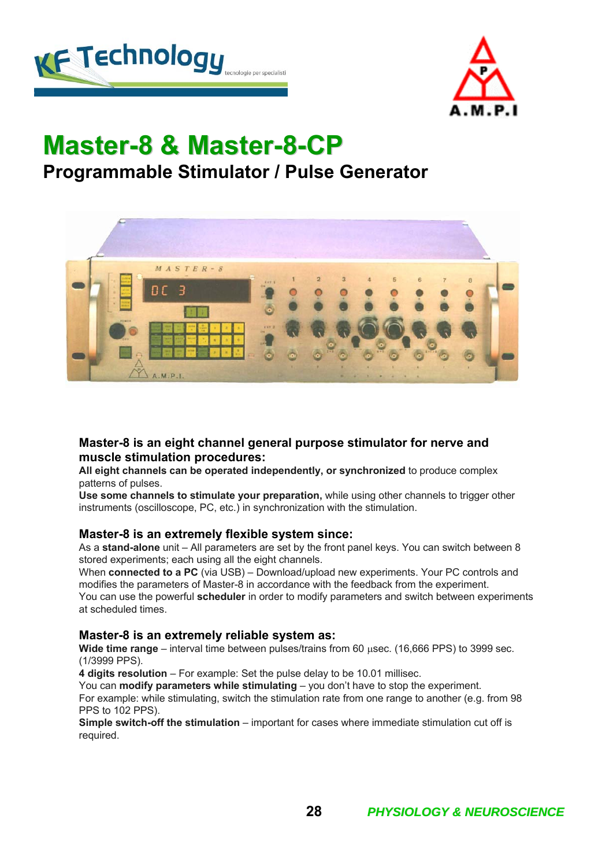



# **Master-8 & Master 8 & Master-8-CP Programmable Stimulator / Pulse Generator**



#### **Master-8 is an eight channel general purpose stimulator for nerve and muscle stimulation procedures:**

**All eight channels can be operated independently, or synchronized** to produce complex patterns of pulses.

**Use some channels to stimulate your preparation,** while using other channels to trigger other instruments (oscilloscope, PC, etc.) in synchronization with the stimulation.

#### **Master-8 is an extremely flexible system since:**

As a **stand-alone** unit – All parameters are set by the front panel keys. You can switch between 8 stored experiments; each using all the eight channels.

When **connected to a PC** (via USB) – Download/upload new experiments. Your PC controls and modifies the parameters of Master-8 in accordance with the feedback from the experiment. You can use the powerful **scheduler** in order to modify parameters and switch between experiments at scheduled times.

#### **Master-8 is an extremely reliable system as:**

**Wide time range** – interval time between pulses/trains from 60 μsec. (16,666 PPS) to 3999 sec. (1/3999 PPS).

**4 digits resolution** – For example: Set the pulse delay to be 10.01 millisec.

You can **modify parameters while stimulating** – you don't have to stop the experiment. For example: while stimulating, switch the stimulation rate from one range to another (e.g. from 98 PPS to 102 PPS).

**Simple switch-off the stimulation** – important for cases where immediate stimulation cut off is required.